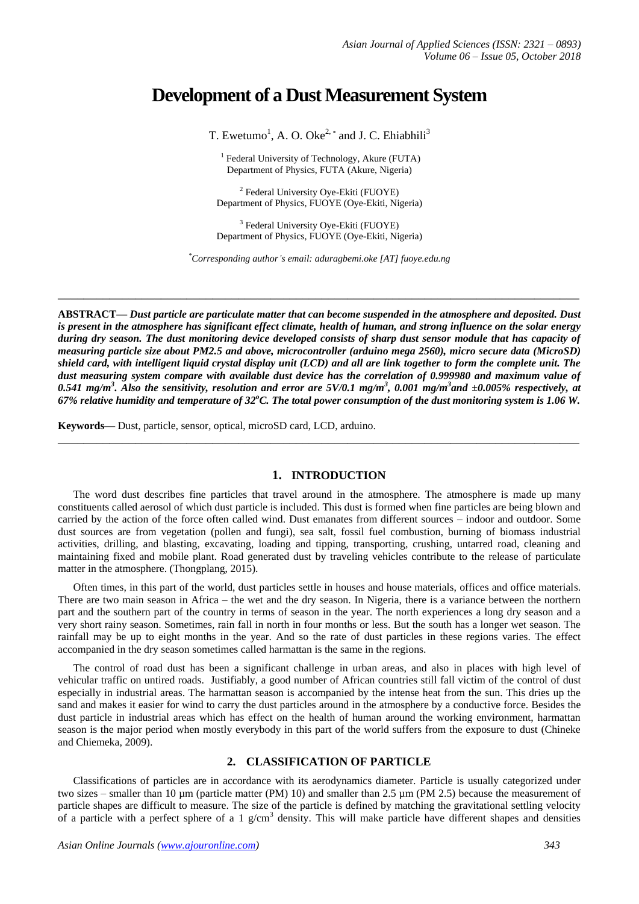# **Development of a Dust Measurement System**

T. Ewetumo<sup>1</sup>, A. O. Oke<sup>2, \*</sup> and J. C. Ehiabhili<sup>3</sup>

<sup>1</sup> Federal University of Technology, Akure (FUTA) Department of Physics, FUTA (Akure, Nigeria)

<sup>2</sup> Federal University Oye-Ekiti (FUOYE) Department of Physics, FUOYE (Oye-Ekiti, Nigeria)

<sup>3</sup> Federal University Oye-Ekiti (FUOYE) Department of Physics, FUOYE (Oye-Ekiti, Nigeria)

*\*Corresponding author's email: aduragbemi.oke [AT] fuoye.edu.ng*

**\_\_\_\_\_\_\_\_\_\_\_\_\_\_\_\_\_\_\_\_\_\_\_\_\_\_\_\_\_\_\_\_\_\_\_\_\_\_\_\_\_\_\_\_\_\_\_\_\_\_\_\_\_\_\_\_\_\_\_\_\_\_\_\_\_\_\_\_\_\_\_\_\_\_\_\_\_\_\_\_\_**

**ABSTRACT—** *Dust particle are particulate matter that can become suspended in the atmosphere and deposited. Dust is present in the atmosphere has significant effect climate, health of human, and strong influence on the solar energy during dry season. The dust monitoring device developed consists of sharp dust sensor module that has capacity of measuring particle size about PM2.5 and above, microcontroller (arduino mega 2560), micro secure data (MicroSD) shield card, with intelligent liquid crystal display unit (LCD) and all are link together to form the complete unit. The dust measuring system compare with available dust device has the correlation of 0.999980 and maximum value of* 0.541 mg/m<sup>3</sup>. Also the sensitivity, resolution and error are 5V/0.1 mg/m<sup>3</sup>, 0.001 mg/m<sup>3</sup>and ±0.005% respectively, at *67% relative humidity and temperature of 32<sup>o</sup>C. The total power consumption of the dust monitoring system is 1.06 W.*

**\_\_\_\_\_\_\_\_\_\_\_\_\_\_\_\_\_\_\_\_\_\_\_\_\_\_\_\_\_\_\_\_\_\_\_\_\_\_\_\_\_\_\_\_\_\_\_\_\_\_\_\_\_\_\_\_\_\_\_\_\_\_\_\_\_\_\_\_\_\_\_\_\_\_\_\_\_\_\_\_\_**

**Keywords—** Dust, particle, sensor, optical, microSD card, LCD, arduino.

## **1. INTRODUCTION**

The word dust describes fine particles that travel around in the atmosphere. The atmosphere is made up many constituents called aerosol of which dust particle is included. This dust is formed when fine particles are being blown and carried by the action of the force often called wind. Dust emanates from different sources – indoor and outdoor. Some dust sources are from vegetation (pollen and fungi), sea salt, fossil fuel combustion, burning of biomass industrial activities, drilling, and blasting, excavating, loading and tipping, transporting, crushing, untarred road, cleaning and maintaining fixed and mobile plant. Road generated dust by traveling vehicles contribute to the release of particulate matter in the atmosphere. (Thongplang, 2015).

Often times, in this part of the world, dust particles settle in houses and house materials, offices and office materials. There are two main season in Africa – the wet and the dry season. In Nigeria, there is a variance between the northern part and the southern part of the country in terms of season in the year. The north experiences a long dry season and a very short rainy season. Sometimes, rain fall in north in four months or less. But the south has a longer wet season. The rainfall may be up to eight months in the year. And so the rate of dust particles in these regions varies. The effect accompanied in the dry season sometimes called harmattan is the same in the regions.

The control of road dust has been a significant challenge in urban areas, and also in places with high level of vehicular traffic on untired roads. Justifiably, a good number of African countries still fall victim of the control of dust especially in industrial areas. The harmattan season is accompanied by the intense heat from the sun. This dries up the sand and makes it easier for wind to carry the dust particles around in the atmosphere by a conductive force. Besides the dust particle in industrial areas which has effect on the health of human around the working environment, harmattan season is the major period when mostly everybody in this part of the world suffers from the exposure to dust (Chineke and Chiemeka, 2009).

## **2. CLASSIFICATION OF PARTICLE**

Classifications of particles are in accordance with its aerodynamics diameter. Particle is usually categorized under two sizes – smaller than 10 µm (particle matter (PM) 10) and smaller than 2.5 µm (PM 2.5) because the measurement of particle shapes are difficult to measure. The size of the particle is defined by matching the gravitational settling velocity of a particle with a perfect sphere of a 1  $g/cm<sup>3</sup>$  density. This will make particle have different shapes and densities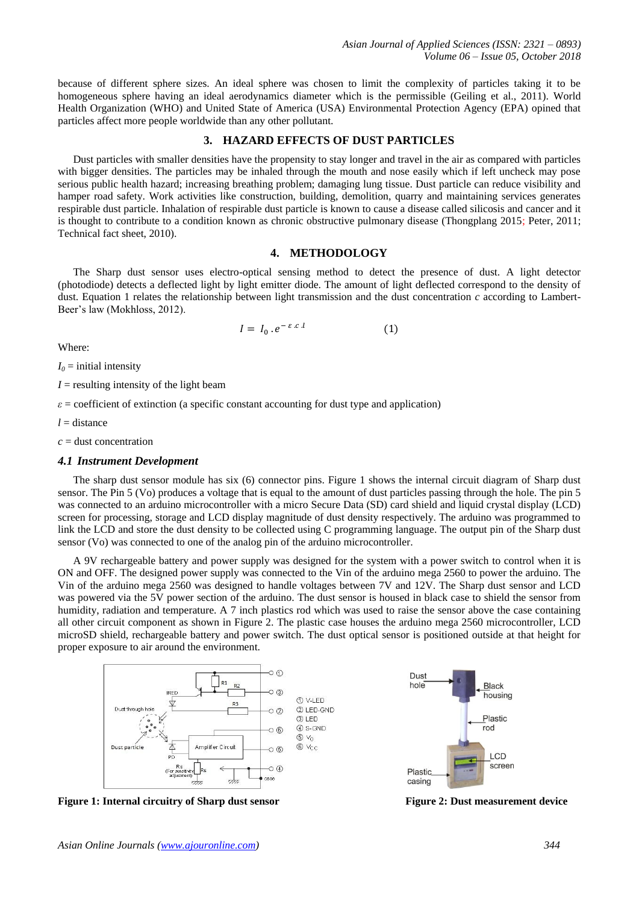because of different sphere sizes. An ideal sphere was chosen to limit the complexity of particles taking it to be homogeneous sphere having an ideal aerodynamics diameter which is the permissible (Geiling et al., 2011). World Health Organization (WHO) and United State of America (USA) Environmental Protection Agency (EPA) opined that particles affect more people worldwide than any other pollutant.

## **3. HAZARD EFFECTS OF DUST PARTICLES**

Dust particles with smaller densities have the propensity to stay longer and travel in the air as compared with particles with bigger densities. The particles may be inhaled through the mouth and nose easily which if left uncheck may pose serious public health hazard; increasing breathing problem; damaging lung tissue. Dust particle can reduce visibility and hamper road safety. Work activities like construction, building, demolition, quarry and maintaining services generates respirable dust particle. Inhalation of respirable dust particle is known to cause a disease called silicosis and cancer and it is thought to contribute to a condition known as chronic obstructive pulmonary disease (Thongplang 2015; Peter, 2011; Technical fact sheet, 2010).

### **4. METHODOLOGY**

The Sharp dust sensor uses electro-optical sensing method to detect the presence of dust. A light detector (photodiode) detects a deflected light by light emitter diode. The amount of light deflected correspond to the density of dust. Equation 1 relates the relationship between light transmission and the dust concentration *c* according to Lambert-Beer's law (Mokhloss, 2012).

$$
I = I_0 \cdot e^{-\varepsilon.c.l} \tag{1}
$$

Where:

 $I_0$  = initial intensity

 $I =$  resulting intensity of the light beam

 $\varepsilon$  = coefficient of extinction (a specific constant accounting for dust type and application)

*l* = distance

*c* = dust concentration

#### *4.1 Instrument Development*

The sharp dust sensor module has six (6) connector pins. Figure 1 shows the internal circuit diagram of Sharp dust sensor. The Pin 5 (Vo) produces a voltage that is equal to the amount of dust particles passing through the hole. The pin 5 was connected to an arduino microcontroller with a micro Secure Data (SD) card shield and liquid crystal display (LCD) screen for processing, storage and LCD display magnitude of dust density respectively. The arduino was programmed to link the LCD and store the dust density to be collected using C programming language. The output pin of the Sharp dust sensor (Vo) was connected to one of the analog pin of the arduino microcontroller.

A 9V rechargeable battery and power supply was designed for the system with a power switch to control when it is ON and OFF. The designed power supply was connected to the Vin of the arduino mega 2560 to power the arduino. The Vin of the arduino mega 2560 was designed to handle voltages between 7V and 12V. The Sharp dust sensor and LCD was powered via the 5V power section of the arduino. The dust sensor is housed in black case to shield the sensor from humidity, radiation and temperature. A 7 inch plastics rod which was used to raise the sensor above the case containing all other circuit component as shown in Figure 2. The plastic case houses the arduino mega 2560 microcontroller, LCD microSD shield, rechargeable battery and power switch. The dust optical sensor is positioned outside at that height for proper exposure to air around the environment.



**Figure 1: Internal circuitry of Sharp dust sensor Figure 2: Dust measurement device**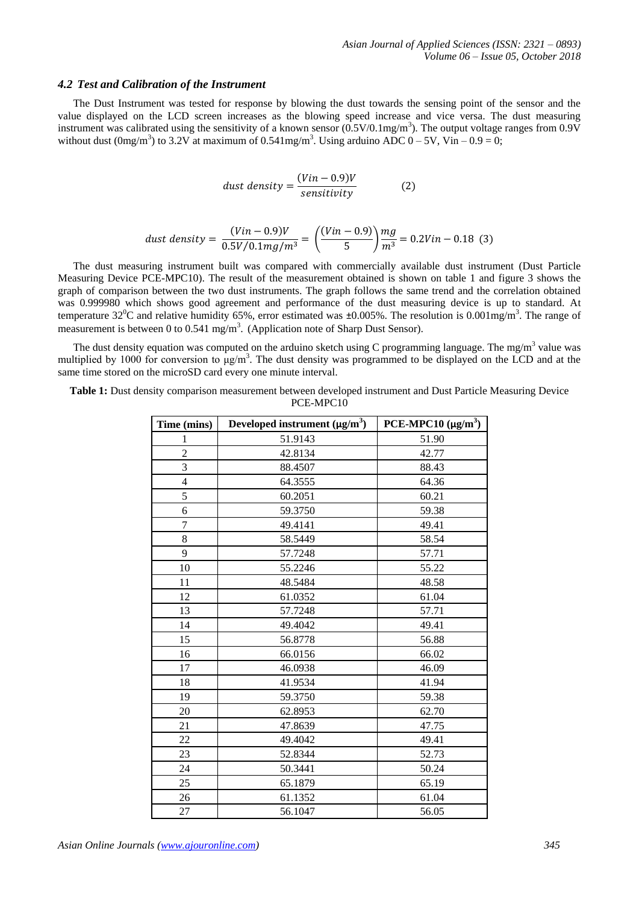#### *4.2 Test and Calibration of the Instrument*

The Dust Instrument was tested for response by blowing the dust towards the sensing point of the sensor and the value displayed on the LCD screen increases as the blowing speed increase and vice versa. The dust measuring instrument was calibrated using the sensitivity of a known sensor  $(0.5 \text{V}/0.1 \text{mg/m}^3)$ . The output voltage ranges from 0.9V without dust  $(0mg/m<sup>3</sup>)$  to 3.2V at maximum of 0.541mg/m<sup>3</sup>. Using arduino ADC  $0 - 5V$ , Vin  $-0.9 = 0$ ;

$$
dust density = \frac{(Vin - 0.9)V}{sensitivity}
$$
 (2)

dust density = 
$$
\frac{(Vin - 0.9)V}{0.5V/0.1mg/m^3}
$$
 =  $\left(\frac{(Vin - 0.9)}{5}\right) \frac{mg}{m^3}$  = 0.2Vin - 0.18 (3)

The dust measuring instrument built was compared with commercially available dust instrument (Dust Particle Measuring Device PCE-MPC10). The result of the measurement obtained is shown on table 1 and figure 3 shows the graph of comparison between the two dust instruments. The graph follows the same trend and the correlation obtained was 0.999980 which shows good agreement and performance of the dust measuring device is up to standard. At temperature 32<sup>0</sup>C and relative humidity 65%, error estimated was  $\pm 0.005$ %. The resolution is  $0.001$ mg/m<sup>3</sup>. The range of measurement is between 0 to 0.541 mg/m<sup>3</sup>. (Application note of Sharp Dust Sensor).

The dust density equation was computed on the arduino sketch using C programming language. The mg/m<sup>3</sup> value was multiplied by 1000 for conversion to  $\mu$ g/m<sup>3</sup>. The dust density was programmed to be displayed on the LCD and at the same time stored on the microSD card every one minute interval.

**Table 1:** Dust density comparison measurement between developed instrument and Dust Particle Measuring Device PCE-MPC10

| Time (mins)    | Developed instrument $(\mu g/m^3)$ | PCE-MPC10 $(\mu g/m^3)$ |
|----------------|------------------------------------|-------------------------|
| 1              | 51.9143                            | 51.90                   |
| $\overline{2}$ | 42.8134                            | 42.77                   |
| 3              | 88.4507                            | 88.43                   |
| 4              | 64.3555                            | 64.36                   |
| 5              | 60.2051                            | 60.21                   |
| 6              | 59.3750                            | 59.38                   |
| $\overline{7}$ | 49.4141                            | 49.41                   |
| 8              | 58.5449                            | 58.54                   |
| 9              | 57.7248                            | 57.71                   |
| 10             | 55.2246                            | 55.22                   |
| 11             | 48.5484                            | 48.58                   |
| 12             | 61.0352                            | 61.04                   |
| 13             | 57.7248                            | 57.71                   |
| 14             | 49.4042                            | 49.41                   |
| 15             | 56.8778                            | 56.88                   |
| 16             | 66.0156                            | 66.02                   |
| 17             | 46.0938                            | 46.09                   |
| 18             | 41.9534                            | 41.94                   |
| 19             | 59.3750                            | 59.38                   |
| 20             | 62.8953                            | 62.70                   |
| 21             | 47.8639                            | 47.75                   |
| 22             | 49.4042                            | 49.41                   |
| 23             | 52.8344                            | 52.73                   |
| 24             | 50.3441                            | 50.24                   |
| 25             | 65.1879                            | 65.19                   |
| 26             | 61.1352                            | 61.04                   |
| 27             | 56.1047                            | 56.05                   |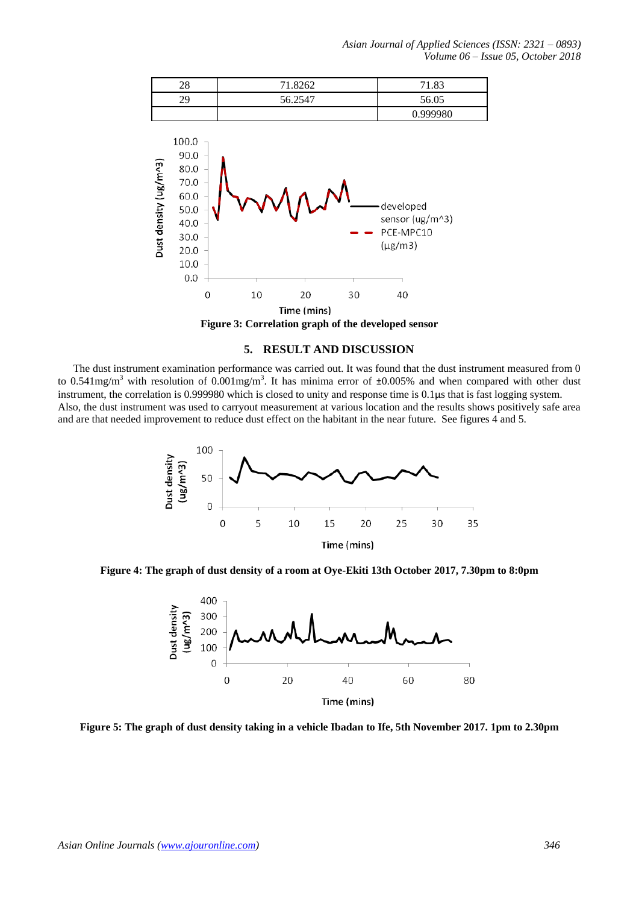*Asian Journal of Applied Sciences (ISSN: 2321 – 0893) Volume 06 – Issue 05, October 2018*



**Figure 3: Correlation graph of the developed sensor**

## **5. RESULT AND DISCUSSION**

The dust instrument examination performance was carried out. It was found that the dust instrument measured from 0 to 0.541mg/m<sup>3</sup> with resolution of 0.001mg/m<sup>3</sup>. It has minima error of  $\pm 0.005\%$  and when compared with other dust instrument, the correlation is 0.999980 which is closed to unity and response time is 0.1µs that is fast logging system. Also, the dust instrument was used to carryout measurement at various location and the results shows positively safe area and are that needed improvement to reduce dust effect on the habitant in the near future. See figures 4 and 5.



**Figure 4: The graph of dust density of a room at Oye-Ekiti 13th October 2017, 7.30pm to 8:0pm**



**Figure 5: The graph of dust density taking in a vehicle Ibadan to Ife, 5th November 2017. 1pm to 2.30pm**